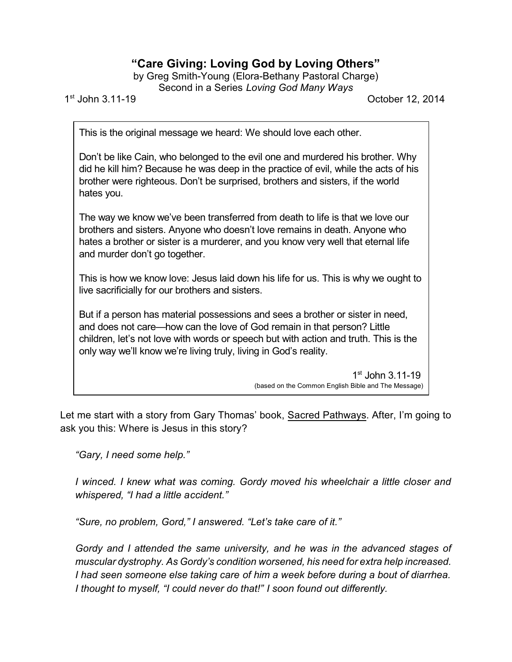## **"Care Giving: Loving God by Loving Others"**

by Greg Smith-Young (Elora-Bethany Pastoral Charge) Second in a Series *Loving God Many Ways*

1 st

October 12, 2014

This is the original message we heard: We should love each other.

Don't be like Cain, who belonged to the evil one and murdered his brother. Why did he kill him? Because he was deep in the practice of evil, while the acts of his brother were righteous. Don't be surprised, brothers and sisters, if the world hates you.

The way we know we've been transferred from death to life is that we love our brothers and sisters. Anyone who doesn't love remains in death. Anyone who hates a brother or sister is a murderer, and you know very well that eternal life and murder don't go together.

This is how we know love: Jesus laid down his life for us. This is why we ought to live sacrificially for our brothers and sisters.

But if a person has material possessions and sees a brother or sister in need, and does not care—how can the love of God remain in that person? Little children, let's not love with words or speech but with action and truth. This is the only way we'll know we're living truly, living in God's reality.

> 1 st John 3.11-19 (based on the Common English Bible and The Message)

Let me start with a story from Gary Thomas' book, Sacred Pathways. After, I'm going to ask you this: Where is Jesus in this story?

*"Gary, I need some help."*

*I winced. I knew what was coming. Gordy moved his wheelchair a little closer and whispered, "I had a little accident."*

*"Sure, no problem, Gord," I answered. "Let's take care of it."*

*Gordy and I attended the same university, and he was in the advanced stages of muscular dystrophy. As Gordy's condition worsened, his need for extra help increased. I had seen someone else taking care of him a week before during a bout of diarrhea. I thought to myself, "I could never do that!" I soon found out differently.*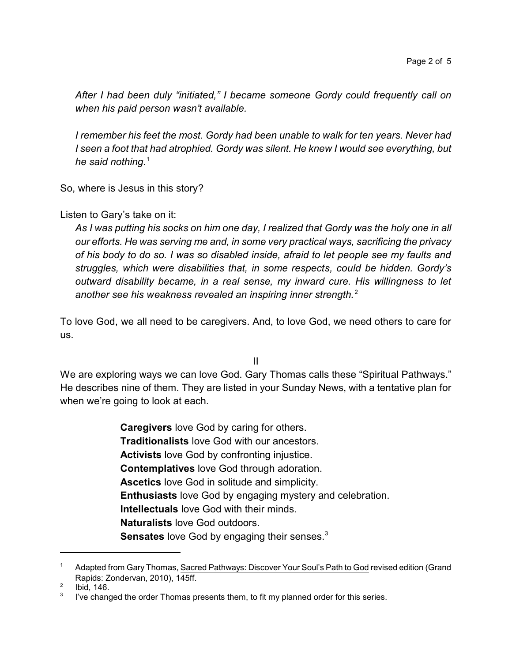*After I had been duly "initiated," I became someone Gordy could frequently call on when his paid person wasn't available.*

*I remember his feet the most. Gordy had been unable to walk for ten years. Never had I seen a foot that had atrophied. Gordy was silent. He knew I would see everything, but he said nothing.*<sup>1</sup>

So, where is Jesus in this story?

## Listen to Gary's take on it:

*As I was putting his socks on him one day, I realized that Gordy was the holy one in all our efforts. He was serving me and, in some very practical ways, sacrificing the privacy of his body to do so. I was so disabled inside, afraid to let people see my faults and struggles, which were disabilities that, in some respects, could be hidden. Gordy's outward disability became, in a real sense, my inward cure. His willingness to let* another see his weakness revealed an inspiring inner strength.<sup>2</sup>

To love God, we all need to be caregivers. And, to love God, we need others to care for us.

II

We are exploring ways we can love God. Gary Thomas calls these "Spiritual Pathways." He describes nine of them. They are listed in your Sunday News, with a tentative plan for when we're going to look at each.

> **Caregivers** love God by caring for others. **Traditionalists** love God with our ancestors. **Activists** love God by confronting injustice. **Contemplatives** love God through adoration. **Ascetics** love God in solitude and simplicity. **Enthusiasts** love God by engaging mystery and celebration. **Intellectuals** love God with their minds. **Naturalists** love God outdoors. Sensates love God by engaging their senses.<sup>3</sup>

Adapted from Gary Thomas, Sacred Pathways: Discover Your Soul's Path to God revised edition (Grand Rapids: Zondervan, 2010), 145ff.

<sup>2</sup> Ibid, 146.

<sup>3</sup> I've changed the order Thomas presents them, to fit my planned order for this series.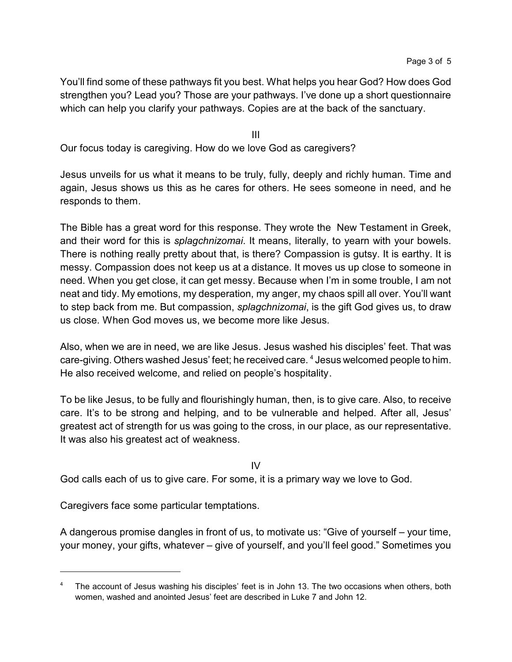You'll find some of these pathways fit you best. What helps you hear God? How does God strengthen you? Lead you? Those are your pathways. I've done up a short questionnaire which can help you clarify your pathways. Copies are at the back of the sanctuary.

III

Our focus today is caregiving. How do we love God as caregivers?

Jesus unveils for us what it means to be truly, fully, deeply and richly human. Time and again, Jesus shows us this as he cares for others. He sees someone in need, and he responds to them.

The Bible has a great word for this response. They wrote the New Testament in Greek, and their word for this is *splagchnizomai*. It means, literally, to yearn with your bowels. There is nothing really pretty about that, is there? Compassion is gutsy. It is earthy. It is messy. Compassion does not keep us at a distance. It moves us up close to someone in need. When you get close, it can get messy. Because when I'm in some trouble, I am not neat and tidy. My emotions, my desperation, my anger, my chaos spill all over. You'll want to step back from me. But compassion, *splagchnizomai*, is the gift God gives us, to draw us close. When God moves us, we become more like Jesus.

Also, when we are in need, we are like Jesus. Jesus washed his disciples' feet. That was care-giving. Others washed Jesus' feet; he received care. <sup>4</sup> Jesus welcomed people to him. He also received welcome, and relied on people's hospitality.

To be like Jesus, to be fully and flourishingly human, then, is to give care. Also, to receive care. It's to be strong and helping, and to be vulnerable and helped. After all, Jesus' greatest act of strength for us was going to the cross, in our place, as our representative. It was also his greatest act of weakness.

IV

God calls each of us to give care. For some, it is a primary way we love to God.

Caregivers face some particular temptations.

A dangerous promise dangles in front of us, to motivate us: "Give of yourself – your time, your money, your gifts, whatever – give of yourself, and you'll feel good." Sometimes you

The account of Jesus washing his disciples' feet is in John 13. The two occasions when others, both women, washed and anointed Jesus' feet are described in Luke 7 and John 12.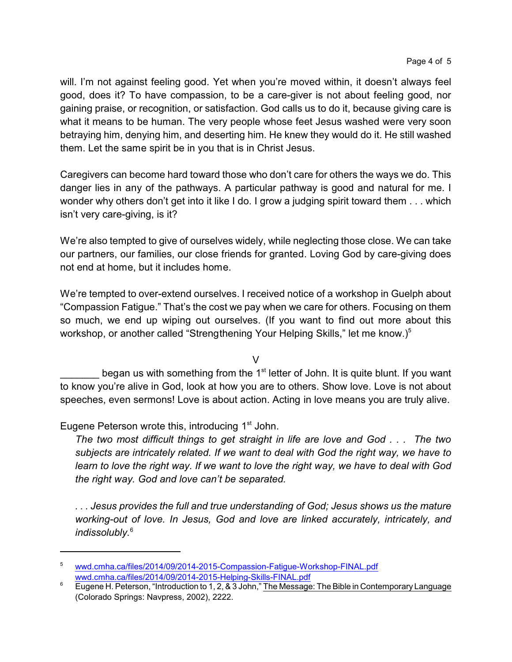will. I'm not against feeling good. Yet when you're moved within, it doesn't always feel good, does it? To have compassion, to be a care-giver is not about feeling good, nor gaining praise, or recognition, or satisfaction. God calls us to do it, because giving care is what it means to be human. The very people whose feet Jesus washed were very soon betraying him, denying him, and deserting him. He knew they would do it. He still washed them. Let the same spirit be in you that is in Christ Jesus.

Caregivers can become hard toward those who don't care for others the ways we do. This danger lies in any of the pathways. A particular pathway is good and natural for me. I wonder why others don't get into it like I do. I grow a judging spirit toward them . . . which isn't very care-giving, is it?

We're also tempted to give of ourselves widely, while neglecting those close. We can take our partners, our families, our close friends for granted. Loving God by care-giving does not end at home, but it includes home.

We're tempted to over-extend ourselves. I received notice of a workshop in Guelph about "Compassion Fatigue." That's the cost we pay when we care for others. Focusing on them so much, we end up wiping out ourselves. (If you want to find out more about this workshop, or another called "Strengthening Your Helping Skills," let me know.)<sup>5</sup>

V

Letter of John. It is quite blunt. If you want to know you're alive in God, look at how you are to others. Show love. Love is not about speeches, even sermons! Love is about action. Acting in love means you are truly alive.

Eugene Peterson wrote this, introducing 1<sup>st</sup> John.

*The two most difficult things to get straight in life are love and God . . . The two subjects are intricately related. If we want to deal with God the right way, we have to learn to love the right way. If we want to love the right way, we have to deal with God the right way. God and love can't be separated.*

*. . . Jesus provides the full and true understanding of God; Jesus shows us the mature working-out of love. In Jesus, God and love are linked accurately, intricately, and indissolubly.*<sup>6</sup>

<sup>5</sup> [wwd.cmha.ca/files/2014/09/2014-2015-Compassion-Fatigue-Workshop-FINAL.pdf](http://wwd.cmha.ca/files/2014/09/2014-2015-Compassion-Fatigue-Workshop-FINAL.pdf) [wwd.cmha.ca/files/2014/09/2014-2015-Helping-Skills-FINAL.pdf](http://wwd.cmha.ca/files/2014/09/2014-2015-Helping-Skills-FINAL.pdf)

<sup>&</sup>lt;sup>6</sup> Eugene H. Peterson, "Introduction to 1, 2, & 3 John," The Message: The Bible in Contemporary Language (Colorado Springs: Navpress, 2002), 2222.